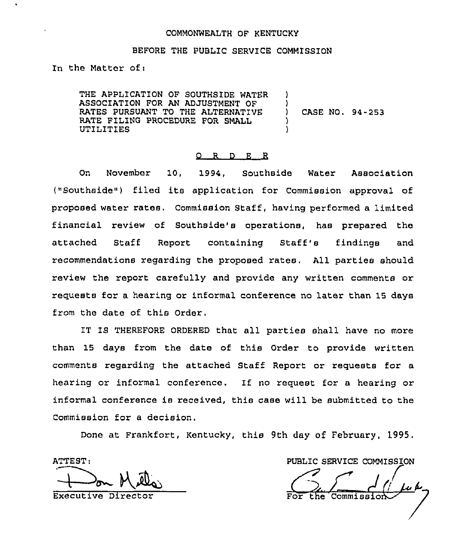## COMMONWEALTH OF KENTUCKY

## BEFORE THE PUBLIC SERVICE COMMISSION

In the Matter of:

THE APPLICATION OF SOUTHSIDE WATER ASSOCIATION FOR AN ADJUSTMENT OF RATES PURSUANT TO THE ALTERNATIVE RATE FILING PROCEDURE FOR SMALL UTILITIES

CASE NO. 94-253

) )

) )

#### 0 R <sup>D</sup> E R

On November 10, 1994, Southside Water Association ("Southside") filed its application for Commission approval of proposed watex rates. Commission Staff, having performed a limited financial review of Southside's operations, has prepared the attached Staff Report containing Staff's findings and recommendations regarding the proposed xates, All parties should review the report carefully and provide any written comments or x'equests for a hearing or informal confexence no later than 15 days from the date of this Ordex.

IT 18 THEREFORE ORDERED that all parties shall have no more than 15 days from the date of this Order to provide written comments regarding the attached Staff Report or requests for a hearing or informal conference. If no request for a hearing or informal conference is received, this case will be submitted to the Commission for a decision.

Done at Frankfort, Kentucky, this 9th day of February, 1995,

ATTEST:

M el

Executive Dixector

PUBLIC SERVICE COMMISSION

USLIC SERVICE COMMISSION the Commissi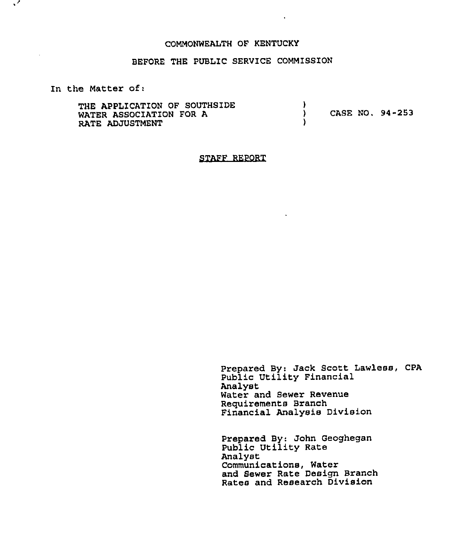#### COMMONWEALTH OF KENTUCKY

## BEFORE THE PUBLIC SERVICE COMMISSION

In the Matter of:

 $\sqrt{2}$ 

| THE APPLICATION OF SOUTHSIDE<br>WATER ASSOCIATION FOR A<br><b>RATE ADJUSTMENT</b> |  | CASE NO. 94-253 |  |
|-----------------------------------------------------------------------------------|--|-----------------|--|
|-----------------------------------------------------------------------------------|--|-----------------|--|

STAFF REPORT

Prepared By: Jack Scott Lawless, CPA Public Utility Financial Analyst Water and Sewer Revenue Requirements Branch Financial Analysis Division

Prepared By: John Geoghega Public Utility Rate Analyst Communications, Water and Sewer Rate Design Branch Rates and Research Division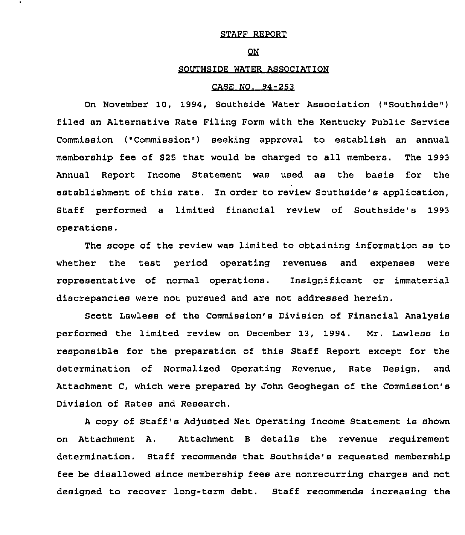## STAFF REPORT

#### $QN$

## SOUTHSIDE WATER ASSOCIATION

#### CASE NO. 94-253

On November 10, 1994, Southeide Water Association ("Southside") filed an Alternative Rate Filing Form with the Kentucky Public Service Commission ("Commission") seeking approval to establish an annual membership fee of \$25 that would be charged to all members. The 1993 Annual Report Income Statement was Used as the basis for the establishment of this rate. In order to review Southside's application, Staff performed a limited financial review of Southside's 1993 operations.

The scope of the review was limited to obtaining information as to whether the test period operating revenues and expenses were representative of normal operations. Insignificant or immaterial discrepancies were not pursued and are not addressed herein.

Scott Lawless of the Commission's Division of Financial Analysis performed the limited review on December 13, 1994. Mr. Lawless is responsible for the preparation of this Staff Report except for the determination of Normalized Operating Revenue, Rate Design, and Attachment C, which were prepared by John Geoghegan of the Commission'8 Division of Rates and Research.

<sup>A</sup> copy of Staff's Adjusted Net Operating Income Statement is shown on Attachment A. Attachment <sup>B</sup> details the revenue requirement determination. Staff recommends that Southside's requested membership fee be disallowed since membership fees are nonrecurring charges and not designed to recover long-term debt. Staff recommends increasing the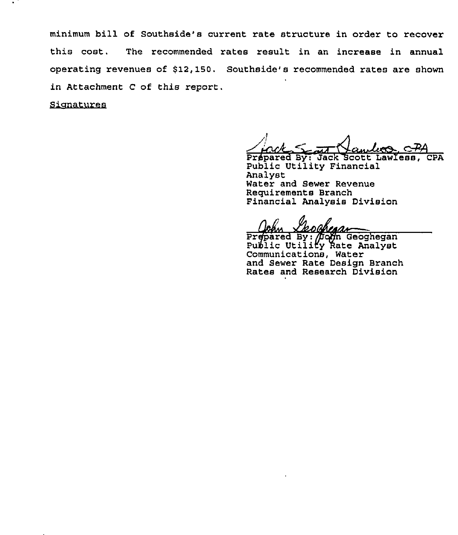minimum bill of Southside's current rate structure in order to recover this cost. The recommended rates result in an increase in annual operating revenues of \$12,150. Southside's recommended rates are shown in Attachment <sup>C</sup> of this report.

Sianatures

Prepared By: Jack Scott Lawless, CPA Public Utility Financial Analyst Water and Sewer Revenue Requirements Branch Financial Analysis Division

Prepared By: Doon Geoghega Public Utility Rate Analys Communications, Water and Sewer Rate Design Branch Rates and Research Division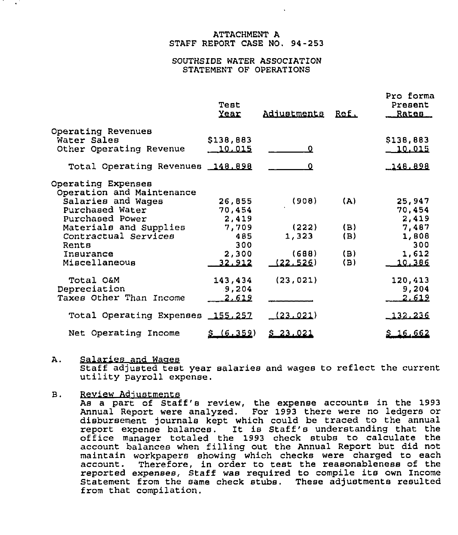## ATTACHMENT A STAFF REPORT CASE NO. 94-253

## SOUTHSIDE WATER ASSOCIATION STATEMENT OF OPERATIONS

|                                                 | Test<br><u>Year</u> | Adjustments | Ref. | Pro forma<br>Present<br>Rates |
|-------------------------------------------------|---------------------|-------------|------|-------------------------------|
| Operating Revenues                              |                     |             |      |                               |
| Water Sales                                     | \$138,883           |             |      | \$138,883                     |
| Other Operating Revenue                         | 10.015              |             |      | <u> 10.015</u>                |
| Total Operating Revenues 148.898                |                     |             |      | 148.898                       |
| Operating Expenses<br>Operation and Maintenance |                     |             |      |                               |
| Salaries and Wages                              | 26,855              | (908)       | (A)  | 25,947                        |
| Purchased Water                                 | 70,454              |             |      | 70,454                        |
| Purchased Power                                 | 2,419               |             |      | 2,419                         |
| Materials and Supplies                          | 7,709               | (222)       | (B)  | 7,487                         |
| Contractual Services                            | 485                 | 1,323       | (B)  | 1,808                         |
| Rents                                           | 300                 |             |      | 300                           |
| Insurance                                       | 2,300               | (688)       | (B)  | 1,612                         |
| Miscellaneous                                   | 32.912              | (22, 526)   | (B)  | 10,386                        |
| Total O&M                                       | 143,434             | (23, 021)   |      | 120,413                       |
| Depreciation                                    | .9,204              |             |      | 9,204                         |
| Taxes Other Than Income                         | 2.612               |             |      | 2.612                         |
| Total Operating Expenses 155,257                |                     | (23.021)    |      | 132.236                       |
| Net Operating Income                            | \$(6.359)           | \$23.021    |      | <u>\$16,662</u>               |

A. Salaries and Waqes<br>Staff adjusted test year salaries and wages to reflect the current<br>utility payroll expense.

Review Adjustments В.

As a part of Staff's review, the expense accounts in the 1993 Annual Report were analyzed. For 1993 there were no ledgers or disbursement journals kept which could be traced to the annual<br>report expense balances. It is Staff's understanding that the report expense balances. It is Staff's understanding that the office manager totaled the <sup>1993</sup> check stubs to calculate the account balances when filling out the Annual Report but did not maintain workpapers showing which checks were charged to each Therefore, in order to test the reasonableness of the reported expenses, staff was required to compile its own Income Statement from the same check stubs. These adjustments resulted from that compilation.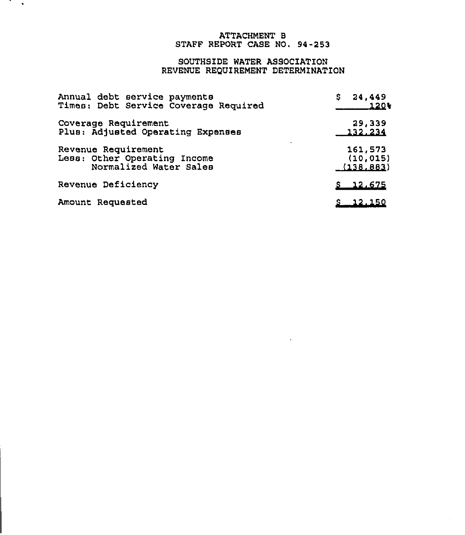## ATTACHMENT E STAFF REPORT CASE NO. 94-253

# SOUTHSIDE WATER ASSOCIATION REVENUE REQUiREMENT DETERMINATION

| Annual debt service payments<br>Times: Debt Service Coverage Required         | 24,449<br>S.<br>120¥              |  |
|-------------------------------------------------------------------------------|-----------------------------------|--|
| Coverage Requirement<br>Plus: Adjusted Operating Expenses                     | 29,339<br>132.234                 |  |
| Revenue Requirement<br>Less: Other Operating Income<br>Normalized Water Sales | 161,573<br>(10, 015)<br>(138.883) |  |
| <b>Revenue Deficiency</b>                                                     | <u>5 12,675</u>                   |  |
| Amount Requested                                                              | \$ 12.150                         |  |

 $\mathcal{L} \rightarrow \mathcal{L}$